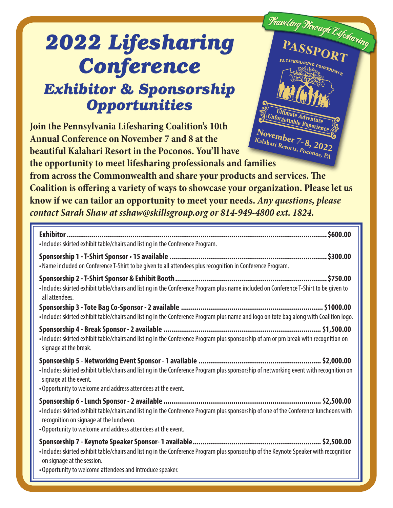## *2022 Lifesharing Conference*

## *Exhibitor & Sponsorship Opportunities*

**Join the Pennsylvania Lifesharing Coalition's 10th Annual Conference on November 7 and 8 at the beautiful Kalahari Resort in the Poconos. You'll have** 

Fraveling Firough Lifestaring PASSPORT SHARING CONFERENCE **Ultimate Adventure Unforgettable ExperienceNovember 7-8, 2022 Kalahari Resorts, Poconos, PA**

**the opportunity to meet lifesharing professionals and families from across the Commonwealth and share your products and services. The Coalition is offering a variety of ways to showcase your organization. Please let us know if we can tailor an opportunity to meet your needs.** *Any questions, please contact Sarah Shaw at sshaw@skillsgroup.org or 814-949-4800 ext. 1824.*

| . Includes skirted exhibit table/chairs and listing in the Conference Program.                                                                                                                                                                    |
|---------------------------------------------------------------------------------------------------------------------------------------------------------------------------------------------------------------------------------------------------|
| . Name included on Conference T-Shirt to be given to all attendees plus recognition in Conference Program.                                                                                                                                        |
| · Includes skirted exhibit table/chairs and listing in the Conference Program plus name included on Conference T-Shirt to be given to<br>all attendees.                                                                                           |
| . Includes skirted exhibit table/chairs and listing in the Conference Program plus name and logo on tote bag along with Coalition logo.                                                                                                           |
| · Includes skirted exhibit table/chairs and listing in the Conference Program plus sponsorship of am or pm break with recognition on<br>signage at the break.                                                                                     |
| . Includes skirted exhibit table/chairs and listing in the Conference Program plus sponsorship of networking event with recognition on<br>signage at the event.<br>. Opportunity to welcome and address attendees at the event.                   |
| . Includes skirted exhibit table/chairs and listing in the Conference Program plus sponsorship of one of the Conference luncheons with<br>recognition on signage at the luncheon.<br>. Opportunity to welcome and address attendees at the event. |
| · Includes skirted exhibit table/chairs and listing in the Conference Program plus sponsorship of the Keynote Speaker with recognition<br>on signage at the session.<br>• Opportunity to welcome attendees and introduce speaker.                 |